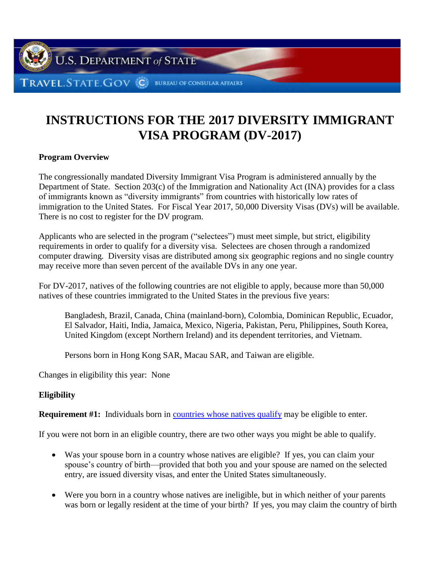

# **INSTRUCTIONS FOR THE 2017 DIVERSITY IMMIGRANT VISA PROGRAM (DV-2017)**

### **Program Overview**

The congressionally mandated Diversity Immigrant Visa Program is administered annually by the Department of State. Section 203(c) of the Immigration and Nationality Act (INA) provides for a class of immigrants known as "diversity immigrants" from countries with historically low rates of immigration to the United States. For Fiscal Year 2017, 50,000 Diversity Visas (DVs) will be available. There is no cost to register for the DV program.

Applicants who are selected in the program ("selectees") must meet simple, but strict, eligibility requirements in order to qualify for a diversity visa. Selectees are chosen through a randomized computer drawing. Diversity visas are distributed among six geographic regions and no single country may receive more than seven percent of the available DVs in any one year.

For DV-2017, natives of the following countries are not eligible to apply, because more than 50,000 natives of these countries immigrated to the United States in the previous five years:

Bangladesh, Brazil, Canada, China (mainland-born), Colombia, Dominican Republic, Ecuador, El Salvador, Haiti, India, Jamaica, Mexico, Nigeria, Pakistan, Peru, Philippines, South Korea, United Kingdom (except Northern Ireland) and its dependent territories, and Vietnam.

Persons born in Hong Kong SAR, Macau SAR, and Taiwan are eligible.

Changes in eligibility this year: None

### **Eligibility**

**Requirement #1:** Individuals born in [countries whose natives qualify](#page-15-0) may be eligible to enter.

If you were not born in an eligible country, there are two other ways you might be able to qualify.

- Was your spouse born in a country whose natives are eligible? If yes, you can claim your spouse's country of birth—provided that both you and your spouse are named on the selected entry, are issued diversity visas, and enter the United States simultaneously.
- Were you born in a country whose natives are ineligible, but in which neither of your parents was born or legally resident at the time of your birth? If yes, you may claim the country of birth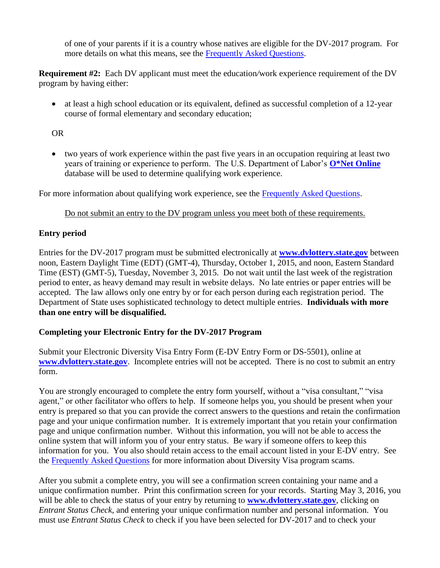of one of your parents if it is a country whose natives are eligible for the DV-2017 program. For more details on what this means, see the [Frequently Asked Questions.](#page-7-0)

**Requirement #2:** Each DV applicant must meet the education*/*work experience requirement of the DV program by having either:

 at least a high school education or its equivalent, defined as successful completion of a 12-year course of formal elementary and secondary education;

OR

 two years of work experience within the past five years in an occupation requiring at least two years of training or experience to perform. The U.S. Department of Labor's **[O\\*Net Online](http://online.onetcenter.org/)** database will be used to determine qualifying work experience.

For more information about qualifying work experience, see the [Frequently Asked Questions.](#page-8-0)

### Do not submit an entry to the DV program unless you meet both of these requirements.

# **Entry period**

Entries for the DV-2017 program must be submitted electronically at **[www.dvlottery.state.gov](http://www.dvlottery.state.gov/)** between noon, Eastern Daylight Time (EDT) (GMT-4), Thursday, October 1, 2015, and noon, Eastern Standard Time (EST) (GMT-5), Tuesday, November 3, 2015. Do not wait until the last week of the registration period to enter, as heavy demand may result in website delays. No late entries or paper entries will be accepted. The law allows only one entry by or for each person during each registration period. The Department of State uses sophisticated technology to detect multiple entries. **Individuals with more than one entry will be disqualified.**

### **Completing your Electronic Entry for the DV-2017 Program**

Submit your Electronic Diversity Visa Entry Form (E-DV Entry Form or DS-5501), online at **[www.dvlottery.state.gov](http://www.dvlottery.state.gov/)**. Incomplete entries will not be accepted. There is no cost to submit an entry form.

You are strongly encouraged to complete the entry form yourself, without a "visa consultant," "visa agent," or other facilitator who offers to help. If someone helps you, you should be present when your entry is prepared so that you can provide the correct answers to the questions and retain the confirmation page and your unique confirmation number. It is extremely important that you retain your confirmation page and unique confirmation number. Without this information, you will not be able to access the online system that will inform you of your entry status. Be wary if someone offers to keep this information for you. You also should retain access to the email account listed in your E-DV entry. See the [Frequently Asked Questions](#page-13-0) for more information about Diversity Visa program scams.

After you submit a complete entry, you will see a confirmation screen containing your name and a unique confirmation number. Print this confirmation screen for your records. Starting May 3, 2016, you will be able to check the status of your entry by returning to **[www.dvlottery.state.gov](http://www.dvlottery.state.gov/)**, clicking on *Entrant Status Check*, and entering your unique confirmation number and personal information. You must use *Entrant Status Check* to check if you have been selected for DV-2017 and to check your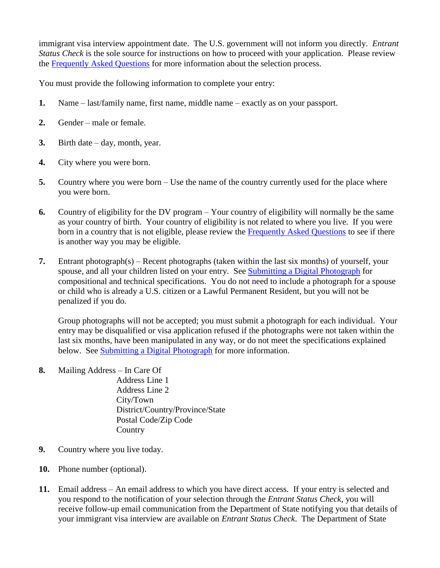immigrant visa interview appointment date. The U.S. government will not inform you directly. *Entrant Status Check* is the sole source for instructions on how to proceed with your application. Please review the [Frequently Asked Questions](#page-10-0) for more information about the selection process.

You must provide the following information to complete your entry:

- **1.** Name last/family name, first name, middle name exactly as on your passport.
- **2.** Gender male or female.
- **3.** Birth date day, month, year.
- **4.** City where you were born.
- **5.** Country where you were born Use the name of the country currently used for the place where you were born.
- **6.** Country of eligibility for the DV program Your country of eligibility will normally be the same as your country of birth. Your country of eligibility is not related to where you live. If you were born in a country that is not eligible, please review the [Frequently Asked Questions](#page-7-0) to see if there is another way you may be eligible.
- **7.** Entrant photograph(s) Recent photographs (taken within the last six months) of yourself, your spouse, and all your children listed on your entry. See [Submitting a Digital Photograph](#page-4-0) for compositional and technical specifications. You do not need to include a photograph for a spouse or child who is already a U.S. citizen or a Lawful Permanent Resident, but you will not be penalized if you do.

Group photographs will not be accepted; you must submit a photograph for each individual. Your entry may be disqualified or visa application refused if the photographs were not taken within the last six months, have been manipulated in any way, or do not meet the specifications explained below. See [Submitting a Digital Photograph](#page-4-0) for more information.

**8.** Mailing Address – In Care Of

Address Line 1 Address Line 2 City/Town District/Country/Province/State Postal Code/Zip Code **Country** 

- **9.** Country where you live today.
- **10.** Phone number (optional).
- **11.** Email address An email address to which you have direct access. If your entry is selected and you respond to the notification of your selection through the *Entrant Status Check*, you will receive follow-up email communication from the Department of State notifying you that details of your immigrant visa interview are available on *Entrant Status Check*. The Department of State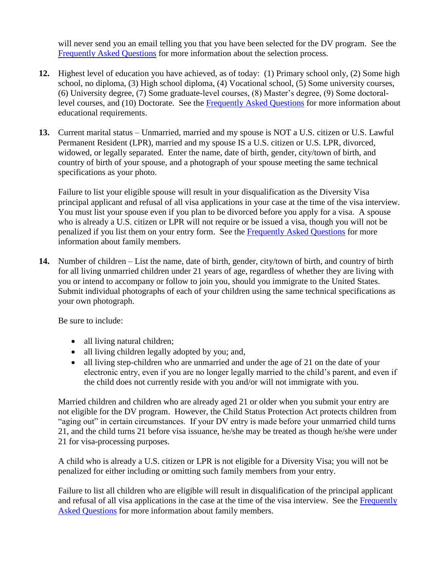will never send you an email telling you that you have been selected for the DV program. See the [Frequently Asked Questions](#page-10-0) for more information about the selection process.

- **12.** Highest level of education you have achieved, as of today: (1) Primary school only, (2) Some high school, no diploma, (3) High school diploma, (4) Vocational school, (5) Some university courses, (6) University degree, (7) Some graduate-level courses, (8) Master's degree, (9) Some doctorallevel courses, and (10) Doctorate. See the [Frequently Asked Questions](#page-8-0) for more information about educational requirements.
- **13.** Current marital status Unmarried, married and my spouse is NOT a U.S. citizen or U.S. Lawful Permanent Resident (LPR), married and my spouse IS a U.S. citizen or U.S. LPR, divorced, widowed, or legally separated. Enter the name, date of birth, gender, city/town of birth, and country of birth of your spouse, and a photograph of your spouse meeting the same technical specifications as your photo.

Failure to list your eligible spouse will result in your disqualification as the Diversity Visa principal applicant and refusal of all visa applications in your case at the time of the visa interview. You must list your spouse even if you plan to be divorced before you apply for a visa. A spouse who is already a U.S. citizen or LPR will not require or be issued a visa, though you will not be penalized if you list them on your entry form. See the [Frequently Asked Questions](#page-9-0) for more information about family members.

**14.** Number of children – List the name, date of birth, gender, city/town of birth, and country of birth for all living unmarried children under 21 years of age, regardless of whether they are living with you or intend to accompany or follow to join you, should you immigrate to the United States. Submit individual photographs of each of your children using the same technical specifications as your own photograph.

Be sure to include:

- all living natural children;
- all living children legally adopted by you; and,
- all living step-children who are unmarried and under the age of 21 on the date of your electronic entry, even if you are no longer legally married to the child's parent, and even if the child does not currently reside with you and/or will not immigrate with you.

Married children and children who are already aged 21 or older when you submit your entry are not eligible for the DV program. However, the Child Status Protection Act protects children from "aging out" in certain circumstances. If your DV entry is made before your unmarried child turns 21, and the child turns 21 before visa issuance, he/she may be treated as though he/she were under 21 for visa-processing purposes.

A child who is already a U.S. citizen or LPR is not eligible for a Diversity Visa; you will not be penalized for either including or omitting such family members from your entry.

Failure to list all children who are eligible will result in disqualification of the principal applicant and refusal of all visa applications in the case at the time of the visa interview. See the [Frequently](#page-9-0)  [Asked Questions](#page-9-0) for more information about family members.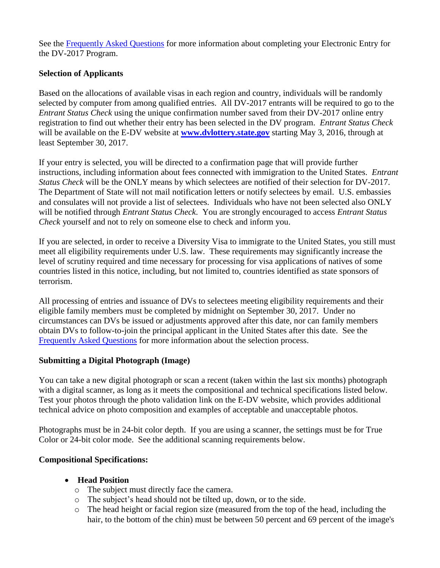See the [Frequently Asked Questions](#page-8-1) for more information about completing your Electronic Entry for the DV-2017 Program.

# **Selection of Applicants**

Based on the allocations of available visas in each region and country, individuals will be randomly selected by computer from among qualified entries. All DV-2017 entrants will be required to go to the *Entrant Status Check* using the unique confirmation number saved from their DV-2017 online entry registration to find out whether their entry has been selected in the DV program. *Entrant Status Check* will be available on the E-DV website at **[www.dvlottery.state.gov](http://www.dvlottery.state.gov/)** starting May 3, 2016, through at least September 30, 2017.

If your entry is selected, you will be directed to a confirmation page that will provide further instructions, including information about fees connected with immigration to the United States. *Entrant Status Check* will be the ONLY means by which selectees are notified of their selection for DV-2017. The Department of State will not mail notification letters or notify selectees by email. U.S. embassies and consulates will not provide a list of selectees. Individuals who have not been selected also ONLY will be notified through *Entrant Status Check*. You are strongly encouraged to access *Entrant Status Check* yourself and not to rely on someone else to check and inform you.

If you are selected, in order to receive a Diversity Visa to immigrate to the United States, you still must meet all eligibility requirements under U.S. law. These requirements may significantly increase the level of scrutiny required and time necessary for processing for visa applications of natives of some countries listed in this notice, including, but not limited to, countries identified as state sponsors of terrorism.

All processing of entries and issuance of DVs to selectees meeting eligibility requirements and their eligible family members must be completed by midnight on September 30, 2017. Under no circumstances can DVs be issued or adjustments approved after this date, nor can family members obtain DVs to follow-to-join the principal applicant in the United States after this date. See the [Frequently Asked Questions](#page-10-0) for more information about the selection process.

### <span id="page-4-0"></span>**Submitting a Digital Photograph (Image)**

You can take a new digital photograph or scan a recent (taken within the last six months) photograph with a digital scanner, as long as it meets the compositional and technical specifications listed below. Test your photos through the photo validation link on the E-DV website, which provides additional technical advice on photo composition and examples of acceptable and unacceptable photos.

Photographs must be in 24-bit color depth. If you are using a scanner, the settings must be for True Color or 24-bit color mode. See the additional scanning requirements below.

# **Compositional Specifications:**

- **Head Position** 
	- o The subject must directly face the camera.
	- o The subject's head should not be tilted up, down, or to the side.
	- o The head height or facial region size (measured from the top of the head, including the hair, to the bottom of the chin) must be between 50 percent and 69 percent of the image's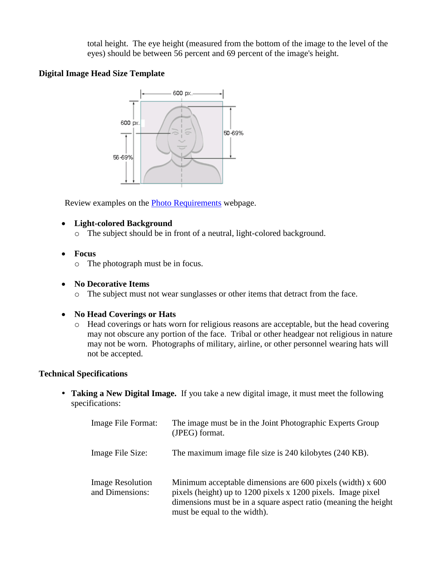total height. The eye height (measured from the bottom of the image to the level of the eyes) should be between 56 percent and 69 percent of the image's height.

## **Digital Image Head Size Template**



Review examples on the [Photo Requirements](http://travel.state.gov/content/visas/en/general/photos.html) webpage.

- **Light-colored Background**
	- o The subject should be in front of a neutral, light-colored background.
- **Focus**
	- o The photograph must be in focus.
- **No Decorative Items**
	- o The subject must not wear sunglasses or other items that detract from the face.

# **No Head Coverings or Hats**

o Head coverings or hats worn for religious reasons are acceptable, but the head covering may not obscure any portion of the face. Tribal or other headgear not religious in nature may not be worn. Photographs of military, airline, or other personnel wearing hats will not be accepted.

# **Technical Specifications**

 **Taking a New Digital Image.** If you take a new digital image, it must meet the following specifications:

| Image File Format:                         | The image must be in the Joint Photographic Experts Group<br>(JPEG) format.                                                                                                                                                        |
|--------------------------------------------|------------------------------------------------------------------------------------------------------------------------------------------------------------------------------------------------------------------------------------|
| Image File Size:                           | The maximum image file size is 240 kilobytes (240 KB).                                                                                                                                                                             |
| <b>Image Resolution</b><br>and Dimensions: | Minimum acceptable dimensions are $600$ pixels (width) x $600$<br>pixels (height) up to 1200 pixels x 1200 pixels. Image pixel<br>dimensions must be in a square aspect ratio (meaning the height)<br>must be equal to the width). |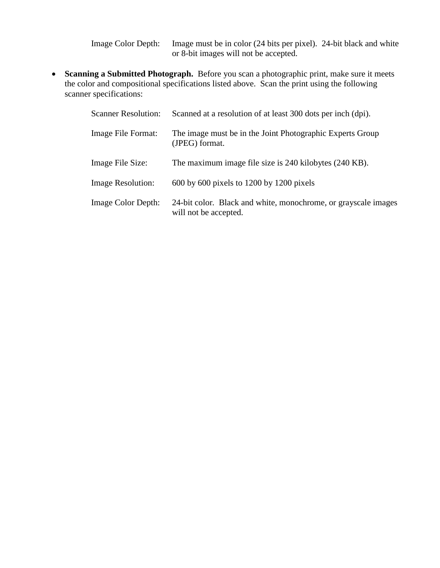Image Color Depth: Image must be in color (24 bits per pixel). 24-bit black and white or 8-bit images will not be accepted.

 **Scanning a Submitted Photograph.** Before you scan a photographic print, make sure it meets the color and compositional specifications listed above. Scan the print using the following scanner specifications:

| <b>Scanner Resolution:</b> | Scanned at a resolution of at least 300 dots per inch (dpi).                            |
|----------------------------|-----------------------------------------------------------------------------------------|
| Image File Format:         | The image must be in the Joint Photographic Experts Group<br>(JPEG) format.             |
| Image File Size:           | The maximum image file size is 240 kilobytes (240 KB).                                  |
| <b>Image Resolution:</b>   | $600$ by $600$ pixels to $1200$ by $1200$ pixels                                        |
| <b>Image Color Depth:</b>  | 24-bit color. Black and white, monochrome, or grayscale images<br>will not be accepted. |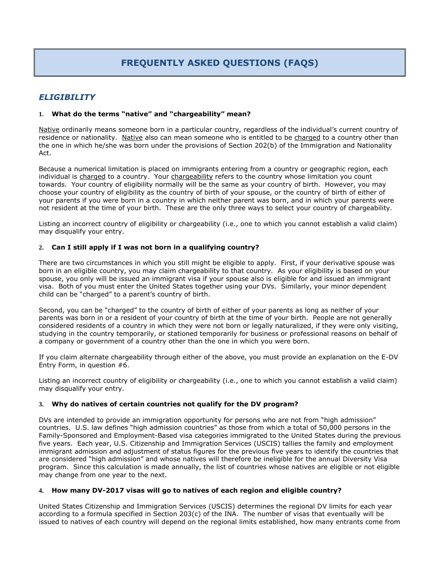# **FREQUENTLY ASKED QUESTIONS (FAQS)**

### *ELIGIBILITY*

#### **1. What do the terms "native" and "chargeability" mean?**

Native ordinarily means someone born in a particular country, regardless of the individual's current country of residence or nationality. Native also can mean someone who is entitled to be charged to a country other than the one in which he/she was born under the provisions of Section 202(b) of the Immigration and Nationality Act.

Because a numerical limitation is placed on immigrants entering from a country or geographic region, each individual is charged to a country. Your chargeability refers to the country whose limitation you count towards. Your country of eligibility normally will be the same as your country of birth. However, you may choose your country of eligibility as the country of birth of your spouse, or the country of birth of either of your parents if you were born in a country in which neither parent was born, and in which your parents were not resident at the time of your birth. These are the only three ways to select your country of chargeability.

Listing an incorrect country of eligibility or chargeability (i.e., one to which you cannot establish a valid claim) may disqualify your entry.

#### <span id="page-7-0"></span>**2. Can I still apply if I was not born in a qualifying country?**

There are two circumstances in which you still might be eligible to apply. First, if your derivative spouse was born in an eligible country, you may claim chargeability to that country. As your eligibility is based on your spouse, you only will be issued an immigrant visa if your spouse also is eligible for and issued an immigrant visa. Both of you must enter the United States together using your DVs. Similarly, your minor dependent child can be "charged" to a parent's country of birth.

Second, you can be "charged" to the country of birth of either of your parents as long as neither of your parents was born in or a resident of your country of birth at the time of your birth. People are not generally considered residents of a country in which they were not born or legally naturalized, if they were only visiting, studying in the country temporarily, or stationed temporarily for business or professional reasons on behalf of a company or government of a country other than the one in which you were born.

If you claim alternate chargeability through either of the above, you must provide an explanation on the E-DV Entry Form, in question #6.

Listing an incorrect country of eligibility or chargeability (i.e., one to which you cannot establish a valid claim) may disqualify your entry.

#### **3. Why do natives of certain countries not qualify for the DV program?**

DVs are intended to provide an immigration opportunity for persons who are not from "high admission" countries. U.S. law defines "high admission countries" as those from which a total of 50,000 persons in the Family-Sponsored and Employment-Based visa categories immigrated to the United States during the previous five years. Each year, U.S. Citizenship and Immigration Services (USCIS) tallies the family and employment immigrant admission and adjustment of status figures for the previous five years to identify the countries that are considered "high admission" and whose natives will therefore be ineligible for the annual Diversity Visa program. Since this calculation is made annually, the list of countries whose natives are eligible or not eligible may change from one year to the next.

#### **4. How many DV-2017 visas will go to natives of each region and eligible country?**

United States Citizenship and Immigration Services (USCIS) determines the regional DV limits for each year according to a formula specified in Section 203(c) of the INA. The number of visas that eventually will be issued to natives of each country will depend on the regional limits established, how many entrants come from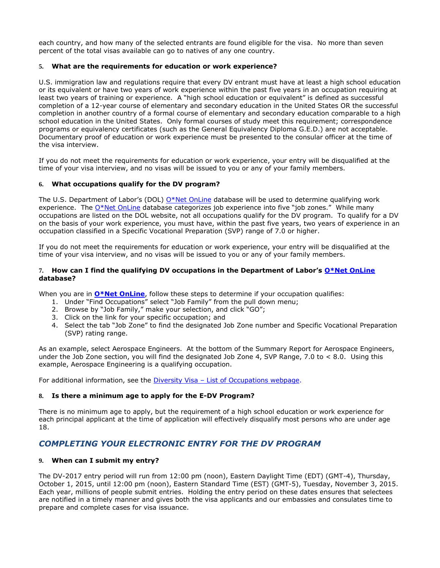each country, and how many of the selected entrants are found eligible for the visa. No more than seven percent of the total visas available can go to natives of any one country.

#### <span id="page-8-0"></span>**5. What are the requirements for education or work experience?**

U.S. immigration law and regulations require that every DV entrant must have at least a high school education or its equivalent or have two years of work experience within the past five years in an occupation requiring at least two years of training or experience. A "high school education or equivalent" is defined as successful completion of a 12-year course of elementary and secondary education in the United States OR the successful completion in another country of a formal course of elementary and secondary education comparable to a high school education in the United States. Only formal courses of study meet this requirement; correspondence programs or equivalency certificates (such as the General Equivalency Diploma G.E.D.) are not acceptable. Documentary proof of education or work experience must be presented to the consular officer at the time of the visa interview.

If you do not meet the requirements for education or work experience, your entry will be disqualified at the time of your visa interview, and no visas will be issued to you or any of your family members.

#### **6. What occupations qualify for the DV program?**

The U.S. Department of Labor's (DOL) [O\\*Net OnLine](http://online.onetcenter.org/) database will be used to determine qualifying work experience. The [O\\*Net OnLine](http://online.onetcenter.org/) database categorizes job experience into five "job zones." While many occupations are listed on the DOL website, not all occupations qualify for the DV program. To qualify for a DV on the basis of your work experience, you must have, within the past five years, two years of experience in an occupation classified in a Specific Vocational Preparation (SVP) range of 7.0 or higher.

If you do not meet the requirements for education or work experience, your entry will be disqualified at the time of your visa interview, and no visas will be issued to you or any of your family members.

#### **7. How can I find the qualifying DV occupations in the Department of Labor's [O\\*Net OnLine](http://online.onetcenter.org/) database?**

When you are in **[O\\*Net OnLine](http://online.onetcenter.org/)**, follow these steps to determine if your occupation qualifies:

- 1. Under "Find Occupations" select "Job Family" from the pull down menu;
- 2. Browse by "Job Family," make your selection, and click "GO";
- 3. Click on the link for your specific occupation; and
- 4. Select the tab "Job Zone" to find the designated Job Zone number and Specific Vocational Preparation (SVP) rating range.

As an example, select Aerospace Engineers. At the bottom of the Summary Report for Aerospace Engineers, under the Job Zone section, you will find the designated Job Zone 4, SVP Range, 7.0 to < 8.0. Using this example, Aerospace Engineering is a qualifying occupation.

For additional information, see the Diversity Visa – [List of Occupations webpage.](http://travel.state.gov/content/visas/english/immigrate/diversity-visa/if-you-are-selected/confirm-your-qualifications.html)

#### **8. Is there a minimum age to apply for the E-DV Program?**

There is no minimum age to apply, but the requirement of a high school education or work experience for each principal applicant at the time of application will effectively disqualify most persons who are under age 18.

### <span id="page-8-1"></span>*COMPLETING YOUR ELECTRONIC ENTRY FOR THE DV PROGRAM*

#### **9. When can I submit my entry?**

The DV-2017 entry period will run from 12:00 pm (noon), Eastern Daylight Time (EDT) (GMT-4), Thursday, October 1, 2015, until 12:00 pm (noon), Eastern Standard Time (EST) (GMT-5), Tuesday, November 3, 2015. Each year, millions of people submit entries. Holding the entry period on these dates ensures that selectees are notified in a timely manner and gives both the visa applicants and our embassies and consulates time to prepare and complete cases for visa issuance.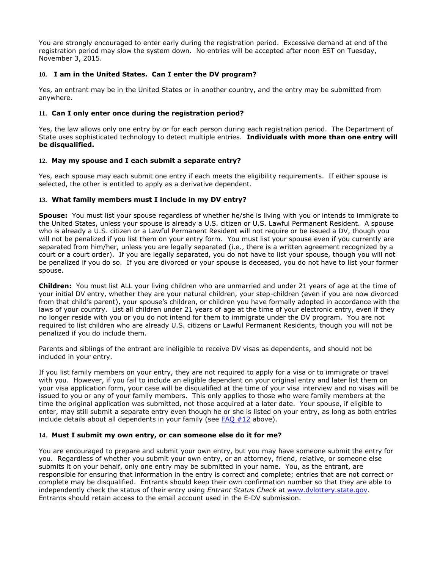You are strongly encouraged to enter early during the registration period. Excessive demand at end of the registration period may slow the system down. No entries will be accepted after noon EST on Tuesday, November 3, 2015.

#### **10. I am in the United States. Can I enter the DV program?**

Yes, an entrant may be in the United States or in another country, and the entry may be submitted from anywhere.

#### **11. Can I only enter once during the registration period?**

Yes, the law allows only one entry by or for each person during each registration period. The Department of State uses sophisticated technology to detect multiple entries. **Individuals with more than one entry will be disqualified.** 

#### <span id="page-9-1"></span>**12. May my spouse and I each submit a separate entry?**

Yes, each spouse may each submit one entry if each meets the eligibility requirements. If either spouse is selected, the other is entitled to apply as a derivative dependent.

#### <span id="page-9-0"></span>**13. What family members must I include in my DV entry?**

**Spouse:** You must list your spouse regardless of whether he/she is living with you or intends to immigrate to the United States, unless your spouse is already a U.S. citizen or U.S. Lawful Permanent Resident.A spouse who is already a U.S. citizen or a Lawful Permanent Resident will not require or be issued a DV, though you will not be penalized if you list them on your entry form. You must list your spouse even if you currently are separated from him/her, unless you are legally separated (i.e., there is a written agreement recognized by a court or a court order). If you are legally separated, you do not have to list your spouse, though you will not be penalized if you do so. If you are divorced or your spouse is deceased, you do not have to list your former spouse.

**Children:** You must list ALL your living children who are unmarried and under 21 years of age at the time of your initial DV entry, whether they are your natural children, your step-children (even if you are now divorced from that child's parent), your spouse's children, or children you have formally adopted in accordance with the laws of your country. List all children under 21 years of age at the time of your electronic entry, even if they no longer reside with you or you do not intend for them to immigrate under the DV program.You are not required to list children who are already U.S. citizens or Lawful Permanent Residents, though you will not be penalized if you do include them.

Parents and siblings of the entrant are ineligible to receive DV visas as dependents, and should not be included in your entry.

If you list family members on your entry, they are not required to apply for a visa or to immigrate or travel with you. However, if you fail to include an eligible dependent on your original entry and later list them on your visa application form, your case will be disqualified at the time of your visa interview and no visas will be issued to you or any of your family members. This only applies to those who were family members at the time the original application was submitted, not those acquired at a later date. Your spouse, if eligible to enter, may still submit a separate entry even though he or she is listed on your entry, as long as both entries include details about all dependents in your family (see [FAQ #12](#page-9-1) above).

#### **14. Must I submit my own entry, or can someone else do it for me?**

You are encouraged to prepare and submit your own entry, but you may have someone submit the entry for you. Regardless of whether you submit your own entry, or an attorney, friend, relative, or someone else submits it on your behalf, only one entry may be submitted in your name. You, as the entrant, are responsible for ensuring that information in the entry is correct and complete; entries that are not correct or complete may be disqualified. Entrants should keep their own confirmation number so that they are able to independently check the status of their entry using *Entrant Status Check* at [www.dvlottery.state.gov.](http://www.dvlottery.state.gov/) Entrants should retain access to the email account used in the E-DV submission.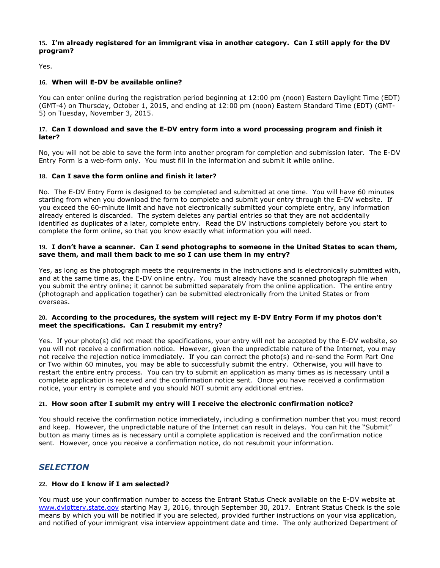#### **15. I'm already registered for an immigrant visa in another category. Can I still apply for the DV program?**

Yes.

#### **16. When will E-DV be available online?**

You can enter online during the registration period beginning at 12:00 pm (noon) Eastern Daylight Time (EDT) (GMT-4) on Thursday, October 1, 2015, and ending at 12:00 pm (noon) Eastern Standard Time (EDT) (GMT-5) on Tuesday, November 3, 2015.

#### **17. Can I download and save the E-DV entry form into a word processing program and finish it later?**

No, you will not be able to save the form into another program for completion and submission later. The E-DV Entry Form is a web-form only. You must fill in the information and submit it while online.

#### **18. Can I save the form online and finish it later?**

No. The E-DV Entry Form is designed to be completed and submitted at one time. You will have 60 minutes starting from when you download the form to complete and submit your entry through the E-DV website. If you exceed the 60-minute limit and have not electronically submitted your complete entry, any information already entered is discarded. The system deletes any partial entries so that they are not accidentally identified as duplicates of a later, complete entry. Read the DV instructions completely before you start to complete the form online, so that you know exactly what information you will need.

#### **19. I don't have a scanner. Can I send photographs to someone in the United States to scan them, save them, and mail them back to me so I can use them in my entry?**

Yes, as long as the photograph meets the requirements in the instructions and is electronically submitted with, and at the same time as, the E-DV online entry. You must already have the scanned photograph file when you submit the entry online; it cannot be submitted separately from the online application. The entire entry (photograph and application together) can be submitted electronically from the United States or from overseas.

#### **20. According to the procedures, the system will reject my E-DV Entry Form if my photos don't meet the specifications. Can I resubmit my entry?**

Yes. If your photo(s) did not meet the specifications, your entry will not be accepted by the E-DV website, so you will not receive a confirmation notice. However, given the unpredictable nature of the Internet, you may not receive the rejection notice immediately. If you can correct the photo(s) and re-send the Form Part One or Two within 60 minutes, you may be able to successfully submit the entry. Otherwise, you will have to restart the entire entry process. You can try to submit an application as many times as is necessary until a complete application is received and the confirmation notice sent. Once you have received a confirmation notice, your entry is complete and you should NOT submit any additional entries.

#### **21. How soon after I submit my entry will I receive the electronic confirmation notice?**

You should receive the confirmation notice immediately, including a confirmation number that you must record and keep. However, the unpredictable nature of the Internet can result in delays. You can hit the "Submit" button as many times as is necessary until a complete application is received and the confirmation notice sent. However, once you receive a confirmation notice, do not resubmit your information.

### <span id="page-10-0"></span>*SELECTION*

#### **22. How do I know if I am selected?**

You must use your confirmation number to access the Entrant Status Check available on the E-DV website at [www.dvlottery.state.gov](http://www.dvlottery.state.gov/) starting May 3, 2016, through September 30, 2017. Entrant Status Check is the sole means by which you will be notified if you are selected, provided further instructions on your visa application, and notified of your immigrant visa interview appointment date and time. The only authorized Department of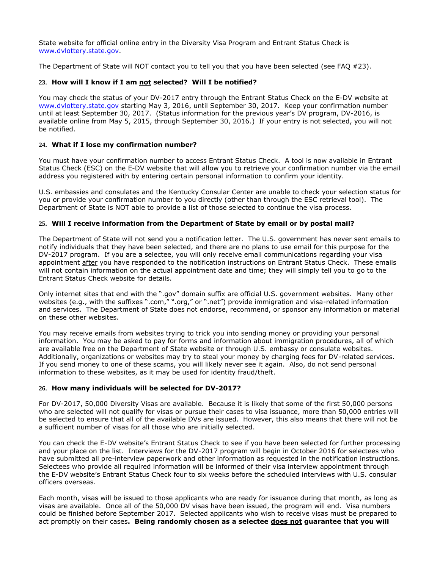State website for official online entry in the Diversity Visa Program and Entrant Status Check is [www.dvlottery.state.gov.](http://www.dvlottery.state.gov/)

The Department of State will NOT contact you to tell you that you have been selected (see FAQ #23).

#### **23. How will I know if I am not selected? Will I be notified?**

You may check the status of your DV-2017 entry through the Entrant Status Check on the E-DV website at [www.dvlottery.state.gov](http://www.dvlottery.state.gov/) starting May 3, 2016, until September 30, 2017. Keep your confirmation number until at least September 30, 2017. (Status information for the previous year's DV program, DV-2016, is available online from May 5, 2015, through September 30, 2016.) If your entry is not selected, you will not be notified.

#### **24. What if I lose my confirmation number?**

You must have your confirmation number to access Entrant Status Check. A tool is now available in Entrant Status Check (ESC) on the E-DV website that will allow you to retrieve your confirmation number via the email address you registered with by entering certain personal information to confirm your identity.

U.S. embassies and consulates and the Kentucky Consular Center are unable to check your selection status for you or provide your confirmation number to you directly (other than through the ESC retrieval tool). The Department of State is NOT able to provide a list of those selected to continue the visa process.

#### **25. Will I receive information from the Department of State by email or by postal mail?**

The Department of State will not send you a notification letter. The U.S. government has never sent emails to notify individuals that they have been selected, and there are no plans to use email for this purpose for the DV-2017 program. If you are a selectee, you will only receive email communications regarding your visa appointment after you have responded to the notification instructions on Entrant Status Check. These emails will not contain information on the actual appointment date and time; they will simply tell you to go to the Entrant Status Check website for details.

Only internet sites that end with the ".gov" domain suffix are official U.S. government websites. Many other websites (e.g., with the suffixes ".com," ".org," or ".net") provide immigration and visa-related information and services. The Department of State does not endorse, recommend, or sponsor any information or material on these other websites.

You may receive emails from websites trying to trick you into sending money or providing your personal information. You may be asked to pay for forms and information about immigration procedures, all of which are available free on the Department of State website or through U.S. embassy or consulate websites. Additionally, organizations or websites may try to steal your money by charging fees for DV-related services. If you send money to one of these scams, you will likely never see it again. Also, do not send personal information to these websites, as it may be used for identity fraud/theft.

#### **26. How many individuals will be selected for DV-2017?**

For DV-2017, 50,000 Diversity Visas are available. Because it is likely that some of the first 50,000 persons who are selected will not qualify for visas or pursue their cases to visa issuance, more than 50,000 entries will be selected to ensure that all of the available DVs are issued. However, this also means that there will not be a sufficient number of visas for all those who are initially selected.

You can check the E-DV website's Entrant Status Check to see if you have been selected for further processing and your place on the list. Interviews for the DV-2017 program will begin in October 2016 for selectees who have submitted all pre-interview paperwork and other information as requested in the notification instructions. Selectees who provide all required information will be informed of their visa interview appointment through the E-DV website's Entrant Status Check four to six weeks before the scheduled interviews with U.S. consular officers overseas.

Each month, visas will be issued to those applicants who are ready for issuance during that month, as long as visas are available. Once all of the 50,000 DV visas have been issued, the program will end. Visa numbers could be finished before September 2017. Selected applicants who wish to receive visas must be prepared to act promptly on their cases**. Being randomly chosen as a selectee does not guarantee that you will**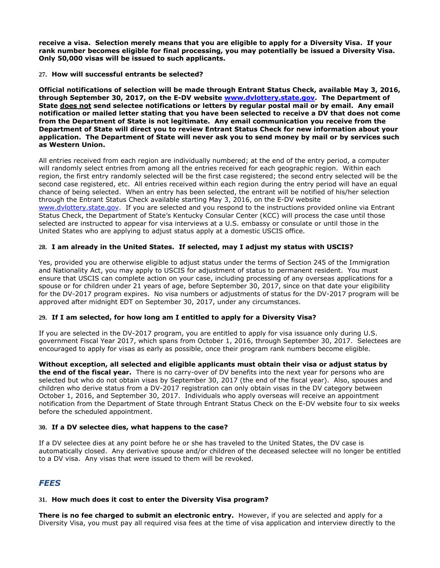**receive a visa. Selection merely means that you are eligible to apply for a Diversity Visa. If your rank number becomes eligible for final processing, you may potentially be issued a Diversity Visa. Only 50,000 visas will be issued to such applicants.**

#### **27. How will successful entrants be selected?**

**Official notifications of selection will be made through Entrant Status Check, available May 3, 2016, through September 30, 2017, on the E-DV website [www.dvlottery.state.gov.](http://www.dvlottery.state.gov/) The Department of State does not send selectee notifications or letters by regular postal mail or by email. Any email notification or mailed letter stating that you have been selected to receive a DV that does not come from the Department of State is not legitimate. Any email communication you receive from the Department of State will direct you to review Entrant Status Check for new information about your application. The Department of State will never ask you to send money by mail or by services such as Western Union.**

All entries received from each region are individually numbered; at the end of the entry period, a computer will randomly select entries from among all the entries received for each geographic region. Within each region, the first entry randomly selected will be the first case registered; the second entry selected will be the second case registered, etc. All entries received within each region during the entry period will have an equal chance of being selected. When an entry has been selected, the entrant will be notified of his/her selection through the Entrant Status Check available starting May 3, 2016, on the E-DV website [www.dvlottery.state.gov.](http://www.dvlottery.state.gov/) If you are selected and you respond to the instructions provided online via Entrant Status Check, the Department of State's Kentucky Consular Center (KCC) will process the case until those selected are instructed to appear for visa interviews at a U.S. embassy or consulate or until those in the United States who are applying to adjust status apply at a domestic USCIS office.

#### **28. I am already in the United States. If selected, may I adjust my status with USCIS?**

Yes, provided you are otherwise eligible to adjust status under the terms of Section 245 of the Immigration and Nationality Act, you may apply to USCIS for adjustment of status to permanent resident. You must ensure that USCIS can complete action on your case, including processing of any overseas applications for a spouse or for children under 21 years of age, before September 30, 2017, since on that date your eligibility for the DV-2017 program expires. No visa numbers or adjustments of status for the DV-2017 program will be approved after midnight EDT on September 30, 2017, under any circumstances.

#### **29. If I am selected, for how long am I entitled to apply for a Diversity Visa?**

If you are selected in the DV-2017 program, you are entitled to apply for visa issuance only during U.S. government Fiscal Year 2017, which spans from October 1, 2016, through September 30, 2017. Selectees are encouraged to apply for visas as early as possible, once their program rank numbers become eligible.

**Without exception, all selected and eligible applicants must obtain their visa or adjust status by the end of the fiscal year.** There is no carry-over of DV benefits into the next year for persons who are selected but who do not obtain visas by September 30, 2017 (the end of the fiscal year). Also, spouses and children who derive status from a DV-2017 registration can only obtain visas in the DV category between October 1, 2016, and September 30, 2017. Individuals who apply overseas will receive an appointment notification from the Department of State through Entrant Status Check on the E-DV website four to six weeks before the scheduled appointment.

#### **30. If a DV selectee dies, what happens to the case?**

If a DV selectee dies at any point before he or she has traveled to the United States, the DV case is automatically closed. Any derivative spouse and/or children of the deceased selectee will no longer be entitled to a DV visa. Any visas that were issued to them will be revoked.

# *FEES*

#### **31. How much does it cost to enter the Diversity Visa program?**

**There is no fee charged to submit an electronic entry.** However, if you are selected and apply for a Diversity Visa, you must pay all required visa fees at the time of visa application and interview directly to the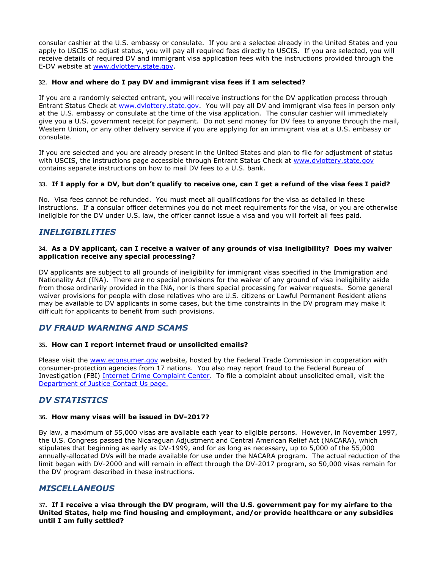consular cashier at the U.S. embassy or consulate. If you are a selectee already in the United States and you apply to USCIS to adjust status, you will pay all required fees directly to USCIS. If you are selected, you will receive details of required DV and immigrant visa application fees with the instructions provided through the E-DV website at [www.dvlottery.state.gov.](http://www.dvlottery.state.gov/)

#### **32. How and where do I pay DV and immigrant visa fees if I am selected?**

If you are a randomly selected entrant, you will receive instructions for the DV application process through Entrant Status Check at [www.dvlottery.state.gov.](http://www.dvlottery.state.gov/) You will pay all DV and immigrant visa fees in person only at the U.S. embassy or consulate at the time of the visa application. The consular cashier will immediately give you a U.S. government receipt for payment. Do not send money for DV fees to anyone through the mail, Western Union, or any other delivery service if you are applying for an immigrant visa at a U.S. embassy or consulate.

If you are selected and you are already present in the United States and plan to file for adjustment of status with USCIS, the instructions page accessible through Entrant Status Check at [www.dvlottery.state.gov](http://www.dvlottery.state.gov/) contains separate instructions on how to mail DV fees to a U.S. bank.

#### **33. If I apply for a DV, but don't qualify to receive one, can I get a refund of the visa fees I paid?**

No. Visa fees cannot be refunded. You must meet all qualifications for the visa as detailed in these instructions. If a consular officer determines you do not meet requirements for the visa, or you are otherwise ineligible for the DV under U.S. law, the officer cannot issue a visa and you will forfeit all fees paid.

### *INELIGIBILITIES*

#### **34. As a DV applicant, can I receive a waiver of any grounds of visa ineligibility? Does my waiver application receive any special processing?**

DV applicants are subject to all grounds of ineligibility for immigrant visas specified in the Immigration and Nationality Act (INA).There are no special provisions for the waiver of any ground of visa ineligibility aside from those ordinarily provided in the INA, nor is there special processing for waiver requests. Some general waiver provisions for people with close relatives who are U.S. citizens or Lawful Permanent Resident aliens may be available to DV applicants in some cases, but the time constraints in the DV program may make it difficult for applicants to benefit from such provisions.

### <span id="page-13-0"></span>*DV FRAUD WARNING AND SCAMS*

#### **35. How can I report internet fraud or unsolicited emails?**

Please visit the [www.econsumer.gov](https://www.econsumer.gov/#crnt) website, hosted by the Federal Trade Commission in cooperation with consumer-protection agencies from 17 nations. You also may report fraud to the Federal Bureau of Investigation (FBI) [Internet Crime Complaint Center.](http://www.ic3.gov/) To file a complaint about unsolicited email, visit the [Department of Justice Contact Us page.](http://www.usdoj.gov/spam.htm)

### *DV STATISTICS*

#### **36. How many visas will be issued in DV-2017?**

By law, a maximum of 55,000 visas are available each year to eligible persons. However, in November 1997, the U.S. Congress passed the Nicaraguan Adjustment and Central American Relief Act (NACARA), which stipulates that beginning as early as DV-1999, and for as long as necessary, up to 5,000 of the 55,000 annually-allocated DVs will be made available for use under the NACARA program. The actual reduction of the limit began with DV-2000 and will remain in effect through the DV-2017 program, so 50,000 visas remain for the DV program described in these instructions.

### *MISCELLANEOUS*

**37. If I receive a visa through the DV program, will the U.S. government pay for my airfare to the United States, help me find housing and employment, and/or provide healthcare or any subsidies until I am fully settled?**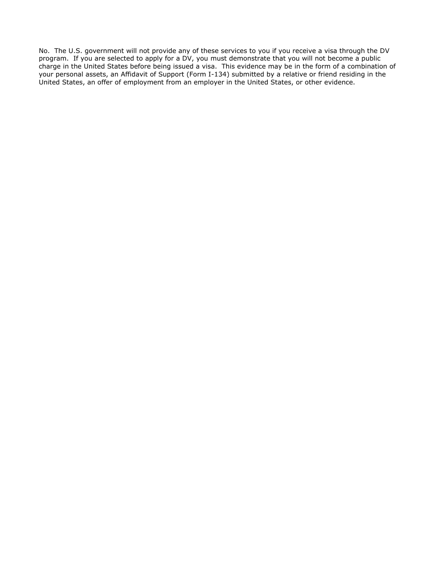No. The U.S. government will not provide any of these services to you if you receive a visa through the DV program. If you are selected to apply for a DV, you must demonstrate that you will not become a public charge in the United States before being issued a visa. This evidence may be in the form of a combination of your personal assets, an Affidavit of Support (Form I-134) submitted by a relative or friend residing in the United States, an offer of employment from an employer in the United States, or other evidence.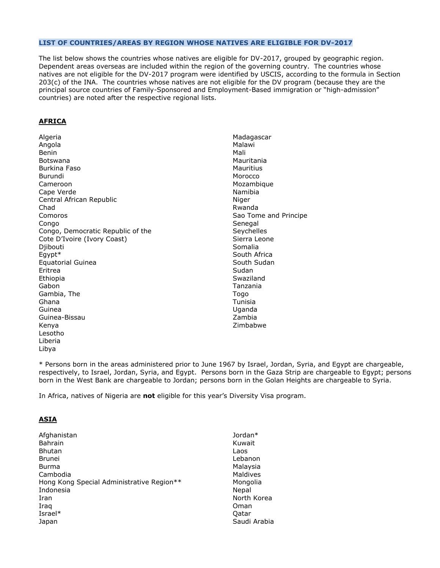#### <span id="page-15-0"></span>**LIST OF COUNTRIES/AREAS BY REGION WHOSE NATIVES ARE ELIGIBLE FOR DV-2017**

The list below shows the countries whose natives are eligible for DV-2017, grouped by geographic region. Dependent areas overseas are included within the region of the governing country. The countries whose natives are not eligible for the DV-2017 program were identified by USCIS, according to the formula in Section 203(c) of the INA. The countries whose natives are not eligible for the DV program (because they are the principal source countries of Family-Sponsored and Employment-Based immigration or "high-admission" countries) are noted after the respective regional lists.

#### **AFRICA**

Algeria Angola Benin Botswana Burkina Faso Burundi Cameroon Cape Verde Central African Republic Chad Comoros Congo Congo, Democratic Republic of the Cote D'Ivoire (Ivory Coast) Diibouti Egypt\* Equatorial Guinea Eritrea Ethiopia Gabon Gambia, The Ghana Guinea Guinea-Bissau Kenya Lesotho Liberia Libya

Madagascar Malawi Mali Mauritania **Mauritius** Morocco Mozambique Namibia Niger Rwanda Sao Tome and Principe Senegal **Sevchelles** Sierra Leone Somalia South Africa South Sudan Sudan Swaziland Tanzania Togo Tunisia Uganda Zambia Zimbabwe

\* Persons born in the areas administered prior to June 1967 by Israel, Jordan, Syria, and Egypt are chargeable, respectively, to Israel, Jordan, Syria, and Egypt. Persons born in the Gaza Strip are chargeable to Egypt; persons born in the West Bank are chargeable to Jordan; persons born in the Golan Heights are chargeable to Syria.

In Africa, natives of Nigeria are **not** eligible for this year's Diversity Visa program.

#### **ASIA**

Afghanistan Bahrain Bhutan Brunei Burma Cambodia Hong Kong Special Administrative Region\*\* Indonesia Iran Iraq Israel\* Japan Jordan\* Kuwait Laos Lebanon Malaysia **Maldives** Mongolia Nepal North Korea Oman Qatar Saudi Arabia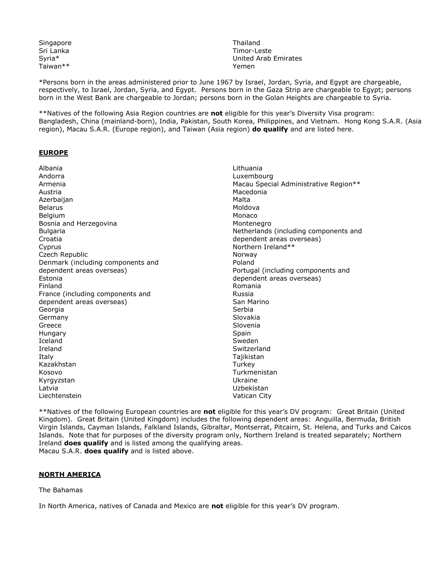Singapore Sri Lanka Syria\* Taiwan\*\*

Thailand Timor-Leste United Arab Emirates Yemen

\*Persons born in the areas administered prior to June 1967 by Israel, Jordan, Syria, and Egypt are chargeable, respectively, to Israel, Jordan, Syria, and Egypt. Persons born in the Gaza Strip are chargeable to Egypt; persons born in the West Bank are chargeable to Jordan; persons born in the Golan Heights are chargeable to Syria.

\*\*Natives of the following Asia Region countries are **not** eligible for this year's Diversity Visa program: Bangladesh, China (mainland-born), India, Pakistan, South Korea, Philippines, and Vietnam. Hong Kong S.A.R. (Asia region), Macau S.A.R. (Europe region), and Taiwan (Asia region) **do qualify** and are listed here.

#### **EUROPE**

Albania Andorra Armenia Austria **Azerbaijan** Belarus Belgium Bosnia and Herzegovina Bulgaria Croatia Cyprus Czech Republic Denmark (including components and dependent areas overseas) Estonia Finland France (including components and dependent areas overseas) Georgia Germany Greece **Hungary** Iceland Ireland Italy Kazakhstan Kosovo Kyrgyzstan Latvia Liechtenstein Lithuania Luxembourg Macau Special Administrative Region\*\* Macedonia Malta Moldova Monaco Montenegro Netherlands (including components and dependent areas overseas) Northern Ireland\*\* Norway Poland Portugal (including components and dependent areas overseas) Romania Russia San Marino Serbia Slovakia Slovenia **Spain** Sweden **Switzerland** Tajikistan **Turkey** Turkmenistan Ukraine Uzbekistan Vatican City

\*\*Natives of the following European countries are **not** eligible for this year's DV program: Great Britain (United Kingdom). Great Britain (United Kingdom) includes the following dependent areas: Anguilla, Bermuda, British Virgin Islands, Cayman Islands, Falkland Islands, Gibraltar, Montserrat, Pitcairn, St. Helena, and Turks and Caicos Islands. Note that for purposes of the diversity program only, Northern Ireland is treated separately; Northern Ireland **does qualify** and is listed among the qualifying areas. Macau S.A.R. **does qualify** and is listed above.

#### **NORTH AMERICA**

#### The Bahamas

In North America, natives of Canada and Mexico are **not** eligible for this year's DV program.